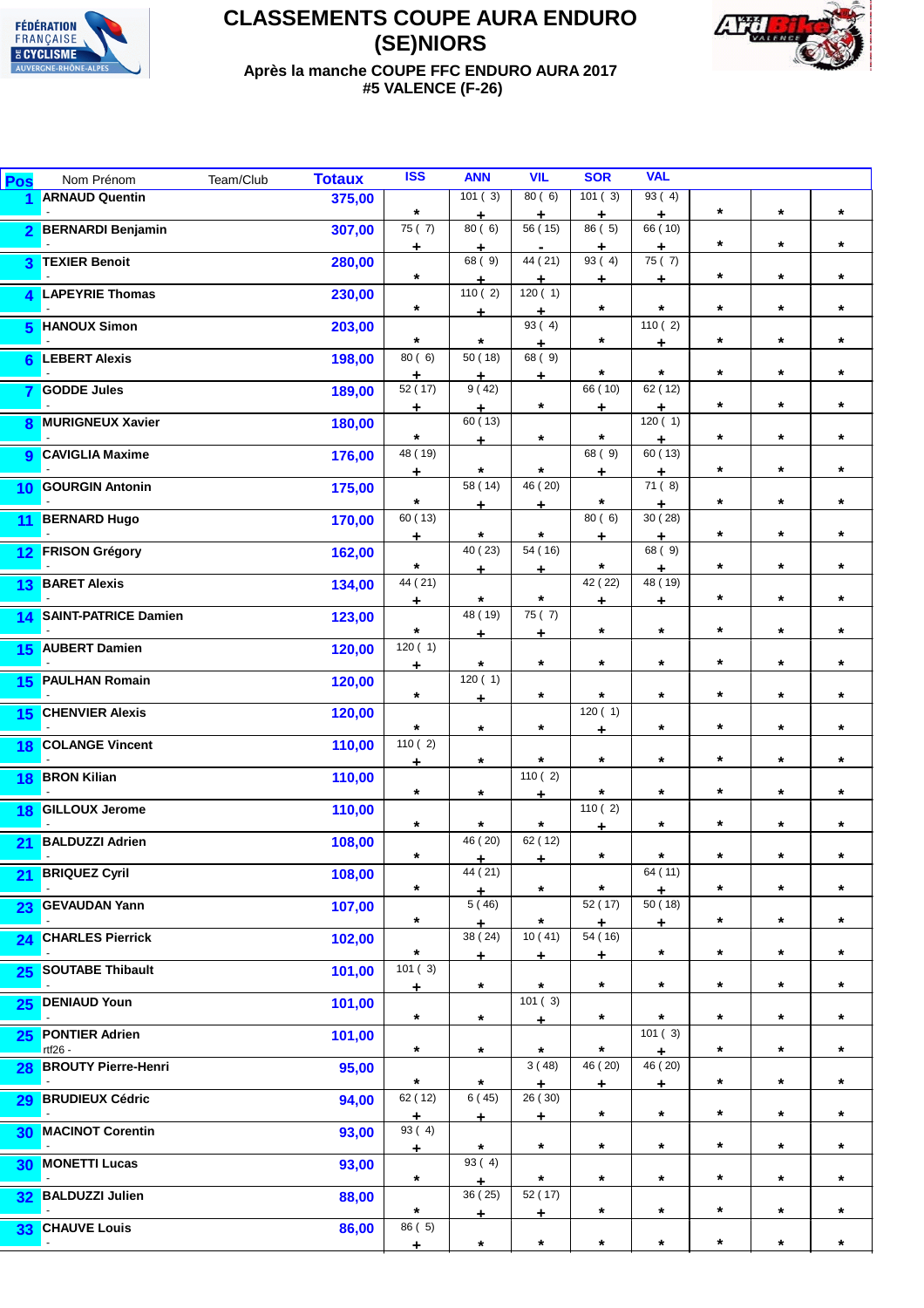



**Après la manche COUPE FFC ENDURO AURA 2017 #5 VALENCE (F-26)**

| Pos             | Nom Prénom                            | Team/Club | <b>Totaux</b> | <b>ISS</b>                     | <b>ANN</b>         | <b>VIL</b>                      | <b>SOR</b>                | <b>VAL</b>           |                    |            |         |
|-----------------|---------------------------------------|-----------|---------------|--------------------------------|--------------------|---------------------------------|---------------------------|----------------------|--------------------|------------|---------|
|                 | <b>ARNAUD Quentin</b>                 |           | 375,00        | $\star$                        | 101(3)<br>٠        | 80(6)<br>÷                      | 101(3)<br>٠               | 93(4)<br>÷           | $\star$            | $\star$    | $\star$ |
| $\overline{2}$  | <b>BERNARDI Benjamin</b>              |           | 307,00        | 75(7)<br>÷                     | 80(6)<br>٠         | 56 (15)<br>$\blacksquare$       | 86 (5)<br>÷               | 66 (10)<br>÷.        | $\star$            | $\star$    | $\star$ |
| 3               | <b>TEXIER Benoit</b>                  |           | 280,00        | $\star$                        | 68 (9)             | 44 (21)<br>٠                    | 93(4)<br>÷                | 75 (7)<br>÷          | $\star$            | $^\star$   | $\star$ |
|                 | 4 LAPEYRIE Thomas                     |           | 230,00        | $\star$                        | 110(2)             | 120(1)                          | $\star$                   | $\star$              | $\star$            | $\star$    | $\star$ |
| 5               | <b>HANOUX Simon</b>                   |           | 203,00        | $\star$                        | ۰<br>$\star$       | ÷<br>93(4)                      | $\star$                   | 110(2)               | $\star$            | $\star$    | $\star$ |
| 6               | <b>LEBERT Alexis</b>                  |           | 198,00        | 80(6)                          | 50(18)             | ÷.<br>68(9)                     | $\star$                   | ٠<br>$\star$         | $\star$            | $\star$    | $\star$ |
| 7               | <b>GODDE Jules</b>                    |           | 189,00        | $\div$<br>52 (17)              | ±<br>9(42)         | ÷<br>$\star$                    | 66 (10)                   | 62 (12)              | $\star$            | $\star$    | $\star$ |
| 8               | <b>MURIGNEUX Xavier</b>               |           | 180,00        | ÷<br>$\star$                   | ٠<br>60(13)        | $\star$                         | ٠<br>$\star$              | ٠<br>120(1)          | $\star$            | $\star$    | $\star$ |
| 9               | <b>CAVIGLIA Maxime</b>                |           | 176,00        | 48 (19)                        | ÷                  |                                 | 68 (9)                    | ÷.<br>60 (13)        | $\star$            |            | $\star$ |
| 10              | <b>GOURGIN Antonin</b>                |           | 175,00        | $\pm$                          | $\star$<br>58 (14) | $\star$<br>46 (20)              | ÷                         | ÷<br>71(8)           |                    | $\star$    | $\star$ |
| 11              | <b>BERNARD Hugo</b>                   |           | 170,00        | $\star$<br>60 (13)             | ÷                  | ÷                               | $\star$<br>80(6)          | ÷<br>30(28)          | $\star$            | $\star$    |         |
| 12              | <b>FRISON Grégory</b>                 |           | 162,00        | ÷                              | $\star$<br>40 (23) | $\star$<br>$\overline{54}$ (16) | ÷                         | ٠<br>68 (9)          | $\star$<br>$\star$ | $^\star$   | $\star$ |
| 13              | <b>BARET Alexis</b>                   |           | 134,00        | $\star$<br>44 (21)             | ÷                  | ÷                               | $\star$<br>42 (22)        | ÷<br>48 (19)         |                    | $\star$    | $\star$ |
| 14              | <b>SAINT-PATRICE Damien</b>           |           | 123,00        | ÷                              | $\star$<br>48 (19) | $\star$<br>75(7)                | ÷                         | ÷                    | $\star$            | $\star$    | $\star$ |
|                 | 15 AUBERT Damien                      |           | 120,00        | $\star$<br>120(1)              | ٠                  | ÷                               | $\star$                   | $\star$              | $\star$            | $\star$    | $\star$ |
| 15              | <b>PAULHAN Romain</b>                 |           | 120,00        | ÷                              | $\star$<br>120(1)  | $\star$                         | $\star$                   | $\star$              | $\star$            | $\star$    | $\star$ |
| 15              | <b>CHENVIER Alexis</b>                |           | 120,00        | $\star$                        | ÷                  | $\star$                         | $\star$<br>120(1)         | $\star$              | $\star$            | $\star$    | $\star$ |
| 18              | <b>COLANGE Vincent</b>                |           | 110,00        | $\star$<br>$\frac{1}{110}$ (2) | $\star$            | $\star$                         | ٠                         | $\star$              | $\star$            | $\star$    | $\star$ |
| 18              | <b>BRON Kilian</b>                    |           | 110,00        | ÷                              | $\star$            | $\star$<br>110(2)               | $\star$                   | $\star$              | $\star$            | $\star$    | $\star$ |
| 18              | <b>GILLOUX Jerome</b>                 |           | 110,00        | $\star$                        | $^\star$           | ÷                               | $\star$<br>110(2)         | $\star$              | $\star$            | $\star$    | $\star$ |
| 21              | <b>BALDUZZI Adrien</b>                |           | 108,00        | $\star$                        | $\star$<br>46 (20) | $\star$<br>62 (12)              | ÷.                        | $\star$              | $\star$            | $\star$    | $\star$ |
| 21              | <b>BRIQUEZ Cyril</b>                  |           | 108,00        | $^\star$                       | ÷.<br>44 (21)      | ÷                               | $\star$                   | $\star$<br>64 (11)   | $\star$            | $\star$    | $\star$ |
| 23              | <b>GEVAUDAN Yann</b>                  |           | 107,00        | $^\star$                       | ÷<br>5(46)         | $\star$                         | *<br>52 (17)              | ÷<br>50(18)          | $\star$            | $\star$    | $\star$ |
|                 | 24 CHARLES Pierrick                   |           | 102,00        | $\star$                        | ٠<br>38 (24)       | $\star$<br>10(41)               | ÷<br>$\overline{54}$ (16) | ÷                    | $\star$            | $\star$    | $\star$ |
|                 | 25 SOUTABE Thibault                   |           | 101,00        | $\star$<br>101(3)              | $\div$             | ÷                               | ÷                         | $\star$              | $\star$            | $\star$    | $\star$ |
| 25              | <b>DENIAUD Youn</b>                   |           | 101,00        | ÷                              | $\star$            | $\star$<br>101(3)               | $\star$                   | $\star$              | $\star$            | $\star$    | $\star$ |
| 25              | <b>PONTIER Adrien</b>                 |           | 101,00        | $\star$                        | $\star$            | ÷                               | $\star$                   | $\star$<br>101(3)    | $\star$            | $^{\star}$ | $\star$ |
| 28              | rtf26 -<br><b>BROUTY Pierre-Henri</b> |           | 95,00         | $\star$                        | $\star$            | $\star$<br>3(48)                | $\star$<br>46(20)         | ÷.<br>46 (20)        | $\star$            | $^{\star}$ | $\star$ |
| 29              | <b>BRUDIEUX Cédric</b>                |           | 94,00         | $\star$<br>62 (12)             | $\star$<br>6(45)   | ٠<br>26 (30)                    | $\pm$                     | $\ddot{\phantom{0}}$ | $\star$            | $\star$    | $\star$ |
| 30              | <b>MACINOT Corentin</b>               |           | 93,00         | $\pm$<br>93 (4)                | ÷                  | ÷                               | $\star$                   | $\star$              | $\star$            | $\star$    | $\star$ |
| 30              | <b>MONETTI Lucas</b>                  |           | 93,00         | ÷                              | $\star$<br>93(4)   | $\star$                         | $\star$                   | $\star$              | $\star$            | $\star$    | $\star$ |
| 32 <sub>2</sub> | <b>BALDUZZI Julien</b>                |           | 88,00         | $\star$                        | ÷.<br>36 (25)      | $\star$<br>52 (17)              | $\star$                   | $\star$              | $\star$            | $\star$    | $\star$ |
|                 | <b>CHAUVE Louis</b>                   |           |               | $^\star$<br>86 (5)             | ۰                  | ÷.                              | $\star$                   | $\star$              | $\star$            | $^{\star}$ | $\star$ |
| 33 <sub>°</sub> |                                       |           | 86,00         | ÷.                             | $\star$            | $\star$                         | $\star$                   | $\star$              | $\star$            | $\star$    | $\star$ |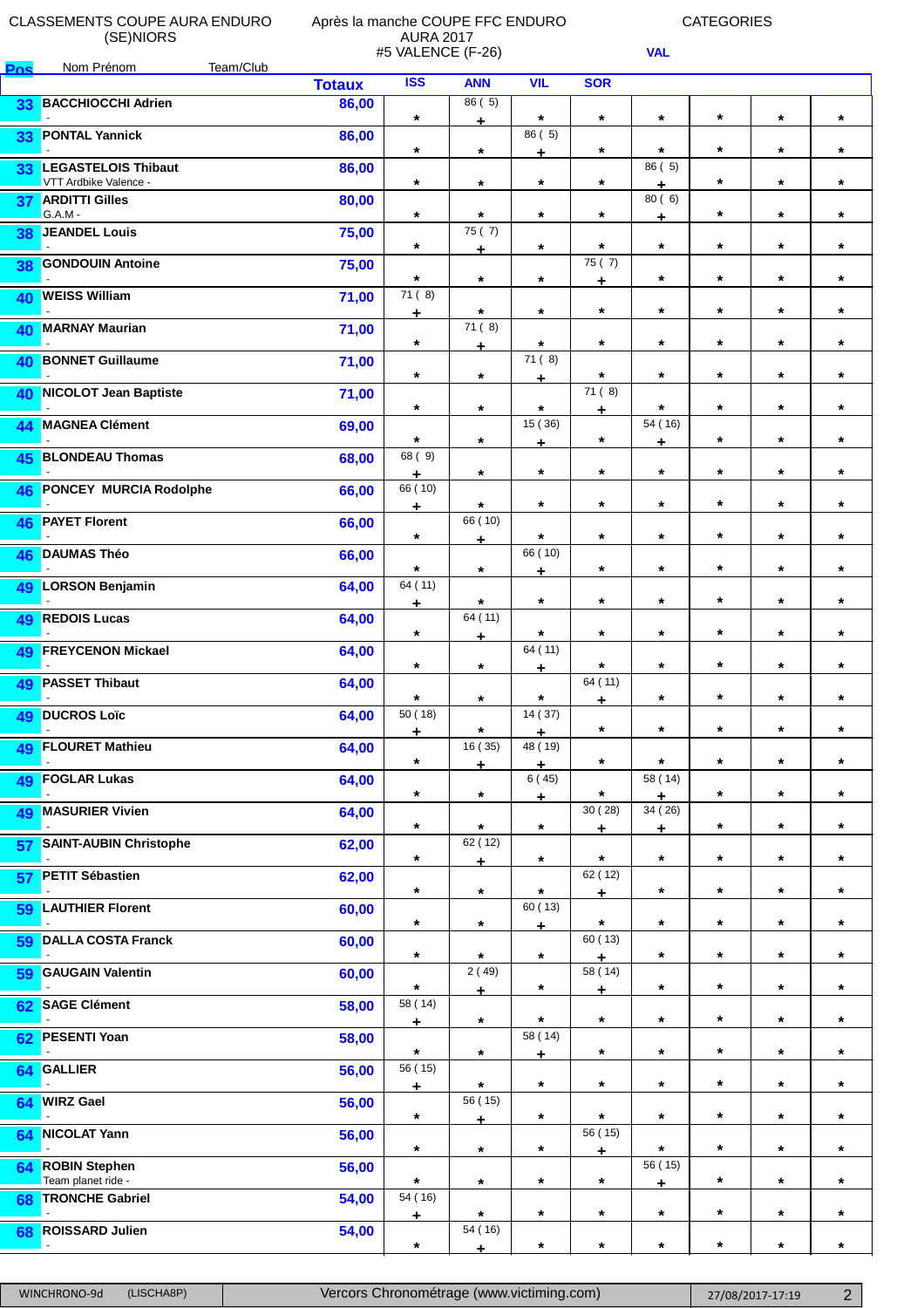**Pos** Nom Prénom Team/Club

## Après la manche COUPE FFC ENDURO AURA 2017 #5 VALENCE (F-26)

CATEGORIES

|    |                                                     | <b>Totaux</b> | <b>ISS</b>          | <b>ANN</b>           | <b>VIL</b>    | <b>SOR</b>   |              |         |         |         |
|----|-----------------------------------------------------|---------------|---------------------|----------------------|---------------|--------------|--------------|---------|---------|---------|
| 33 | <b>BACCHIOCCHI Adrien</b>                           | 86,00         | $\star$             | 86(5)<br>÷           | $\star$       | $\star$      | $\star$      | $\star$ | $\star$ | $\star$ |
| 33 | <b>PONTAL Yannick</b>                               | 86,00         | $\star$             | $\star$              | 86 (5)<br>÷   | $\ast$       | $\star$      | $\star$ | $\star$ | $\star$ |
| 33 | <b>LEGASTELOIS Thibaut</b><br>VTT Ardbike Valence - | 86,00         | $\star$             | $\star$              | $\star$       | $\star$      | 86 (5)<br>٠  | $\star$ | $\star$ | $\star$ |
| 37 | <b>ARDITTI Gilles</b><br>$G.A.M -$                  | 80,00         | $\star$             | $\star$              | $\star$       | $\star$      | 80(6)<br>÷   | $\star$ | $\star$ | $\star$ |
| 38 | <b>JEANDEL Louis</b>                                | 75,00         | $\star$             | 75(7)                | $\star$       | $\star$      | $\star$      | $\star$ | $\star$ | $\star$ |
| 38 | <b>GONDOUIN Antoine</b>                             | 75,00         | $\star$             | ÷<br>$\star$         | $\star$       | 75(7)        | $\star$      | $\star$ | $\star$ | $\star$ |
| 40 | <b>WEISS William</b>                                | 71,00         | 71(8)               | $\star$              | $\star$       | ۰<br>$\star$ | $\star$      | *       | $\star$ | $\star$ |
| 40 | <b>MARNAY Maurian</b>                               | 71,00         | ÷<br>$\ast$         | 71(8)                | $\star$       | $\star$      | $\star$      | $\star$ | $\star$ | $\star$ |
| 40 | <b>BONNET Guillaume</b>                             | 71,00         | $\star$             | ÷.<br>$\star$        | 71(8)         | $\star$      | $\star$      | $\star$ | $\star$ | $\star$ |
|    | 40 NICOLOT Jean Baptiste                            | 71,00         | $\star$             | $\star$              | ÷<br>$\star$  | 71(8)        | $\star$      | $\star$ | $\star$ | $\star$ |
| 44 | <b>MAGNEA Clément</b>                               | 69,00         | $\star$             | $\star$              | 15(36)        | ٠<br>$\star$ | 54 (16)      | $\star$ | $\star$ | $\star$ |
| 45 | <b>BLONDEAU Thomas</b>                              | 68,00         | 68 (9)              | $\star$              | ٠<br>$\star$  | $\star$      | ÷<br>$\star$ | $\star$ | $\star$ | $\star$ |
| 46 | <b>PONCEY MURCIA Rodolphe</b>                       | 66,00         | ٠<br>66 (10)        | $\star$              | $\star$       | $\star$      | $\star$      | $\star$ | $\star$ | $\star$ |
| 46 | <b>PAYET Florent</b>                                | 66,00         | ÷<br>$\star$        | 66 (10)              | $\star$       | $\star$      | $\star$      | $\star$ | $\star$ | $\star$ |
| 46 | <b>DAUMAS Théo</b>                                  | 66,00         | $\star$             | ÷<br>$\star$         | 66 (10)       | $\star$      | $\star$      | $\star$ | $\star$ | $\star$ |
| 49 | <b>LORSON Benjamin</b>                              | 64,00         | 64 (11)             | $\star$              | ÷<br>$\star$  | $\star$      | $\star$      | $\star$ | $\star$ | $\star$ |
| 49 | <b>REDOIS Lucas</b>                                 | 64,00         | $\div$<br>$\star$   | 64 (11)              | $\star$       | $\star$      | $\star$      | $\star$ | $\star$ | $\star$ |
| 49 | <b>FREYCENON Mickael</b>                            | 64,00         | $\star$             | ÷<br>$\star$         | 64 (11)       | $\star$      | $\star$      | *       | $\star$ | $\star$ |
| 49 | <b>PASSET Thibaut</b>                               | 64,00         | $\star$             | $\star$              | ٠<br>$\star$  | 64 (11)      | $\star$      | $\star$ | $\star$ | $\star$ |
| 49 | <b>DUCROS Loïc</b>                                  | 64,00         | 50 (18)             | $\star$              | 14 (37)       | ÷<br>$\star$ | $\star$      | $\star$ | $\star$ | $\star$ |
|    | 49 FLOURET Mathieu                                  | 64,00         | ÷<br>$\star$        | 16 (35)              | ٠<br>48 (19)  | $\star$      | $\star$      | $\star$ | $\star$ | $\star$ |
| 49 | <b>FOGLAR Lukas</b>                                 | 64,00         | $\star$             | ÷<br>$\star$         | ÷<br>6 (45)   | $\star$      | 58 (14)      | $\star$ | $\star$ | $\star$ |
|    | 49 MASURIER Vivien                                  | 64,00         | $\star$             | $\star$              | ÷<br>$\star$  | 30(28)       | ٠<br>34(26)  | $\star$ | $\star$ | $\star$ |
| 57 | <b>SAINT-AUBIN Christophe</b>                       | 62,00         | $\star$             | 62(12)               | $\star$       | ÷<br>$\star$ | ÷<br>$\star$ | $\star$ | $\star$ | $\star$ |
| 57 | <b>PETIT Sébastien</b>                              | 62,00         | $\star$             | ÷<br>$\star$         | $\star$       | 62 (12)      | $\star$      | $\star$ | $\star$ | $\star$ |
| 59 | <b>LAUTHIER Florent</b>                             | 60,00         | $\star$             | $\star$              | 60 (13)       | ۰<br>$\star$ | $\star$      | $\star$ | $\star$ | $\star$ |
| 59 | <b>DALLA COSTA Franck</b>                           | 60,00         | $\star$             | $\star$              | ٠<br>$\star$  | 60 (13)      | $\star$      | $\star$ | $\star$ | $\star$ |
| 59 | <b>GAUGAIN Valentin</b>                             | 60,00         | $\star$             | 2(49)                | $\star$       | ٠<br>58 (14) | $\star$      | $\star$ | $\star$ | $\star$ |
| 62 | <b>SAGE Clément</b>                                 | 58,00         | $\overline{58(14)}$ | Ł<br>$\star$         | $\star$       | ÷<br>$\star$ | $\star$      | $\star$ | $\star$ | $\star$ |
| 62 | <b>PESENTI Yoan</b>                                 | 58,00         | ÷<br>$\star$        | $\star$              | 58 (14)       | $\star$      | $\star$      | $\star$ | $\star$ | $\star$ |
| 64 | <b>GALLIER</b>                                      | 56,00         | 56 (15)             | $\star$              | ÷.<br>$\star$ | $\star$      | $\star$      | $\star$ | $\star$ | $\star$ |
| 64 | <b>WIRZ Gael</b>                                    | 56,00         | ÷<br>$\star$        | $\overline{56}$ (15) | $\star$       | $\star$      | $\star$      | $\star$ | $\star$ | $\star$ |
| 64 | <b>NICOLAT Yann</b>                                 | 56,00         | $\star$             | ÷.<br>$\star$        | $\star$       | 56 (15)      | $\star$      | $\star$ | $\star$ | $\star$ |
|    | 64 ROBIN Stephen<br>Team planet ride -              | 56,00         | $\star$             | $\star$              | $\star$       | ٠<br>$\star$ | 56 (15)      | $\star$ | $\star$ | $\star$ |
|    | 68 TRONCHE Gabriel                                  | 54,00         | 54(16)              | $\star$              | $\star$       | $\star$      | ÷<br>$\star$ | $\star$ | $\star$ | $\star$ |
| 68 | <b>ROISSARD Julien</b>                              | 54,00         | ٠<br>$\star$        | $\overline{54}$ (16) | $\star$       | $\star$      | $\star$      | $\star$ | $\star$ | $\star$ |
|    |                                                     |               |                     | ÷                    |               |              |              |         |         |         |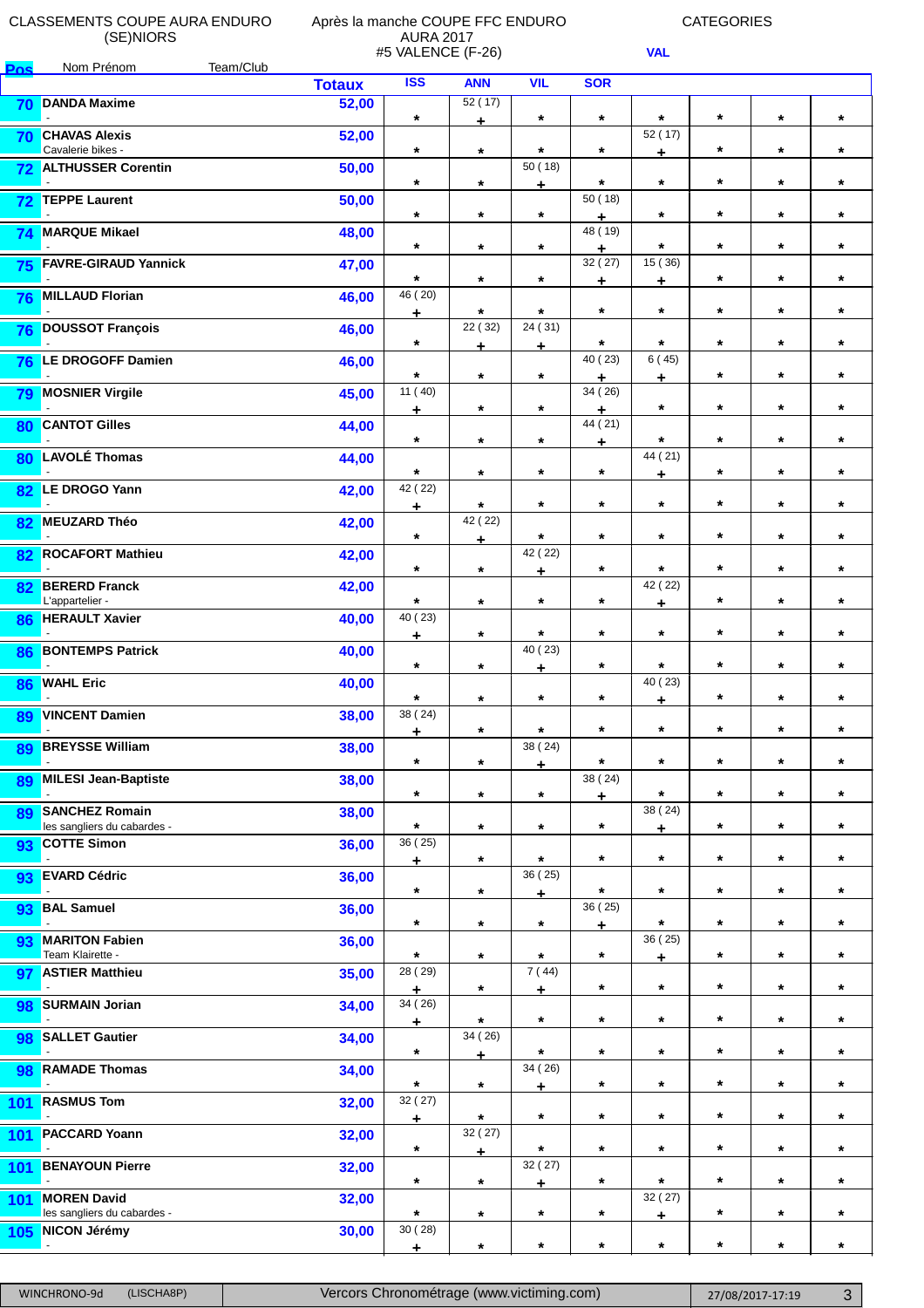**Pos** Nom Prénom Team/Club

#### Après la manche COUPE FFC ENDURO AURA 2017 #5 VALENCE (F-26)

CATEGORIES

٦

|     |                                                      | <b>Totaux</b> | ISS                            | <b>ANN</b>        | <b>VIL</b>   | <b>SOR</b>        |                  |         |         |         |
|-----|------------------------------------------------------|---------------|--------------------------------|-------------------|--------------|-------------------|------------------|---------|---------|---------|
| 70  | <b>DANDA Maxime</b>                                  | 52,00         | $\star$                        | 52(17)<br>÷       | $\star$      | $\star$           | $\star$          | $\star$ | $\star$ | $\star$ |
| 70  | <b>CHAVAS Alexis</b><br>Cavalerie bikes -            | 52,00         | $\star$                        | $\star$           | $\star$      | $\star$           | 52 (17)<br>$\pm$ | $\star$ | $\star$ | $\star$ |
| 72  | <b>ALTHUSSER Corentin</b>                            | 50,00         | $\star$                        | $\star$           | 50(18)       | $\star$           | $\star$          | $\star$ | $\star$ | $\star$ |
| 72  | <b>TEPPE Laurent</b>                                 | 50,00         | $\star$                        | $\star$           | ÷<br>$\star$ | 50(18)            | $\star$          | $\star$ | $\star$ | $\star$ |
| 74  | <b>MARQUE Mikael</b>                                 | 48,00         | $\star$                        | $\star$           | $\star$      | ٠<br>48 (19)<br>÷ | $\star$          | $\star$ | $\star$ | $\star$ |
| 75  | <b>FAVRE-GIRAUD Yannick</b>                          | 47,00         | $\star$                        | $\star$           | $\star$      | 32 (27)<br>٠      | 15 (36)<br>٠     | $\star$ | $\star$ | $\star$ |
| 76  | <b>MILLAUD Florian</b>                               | 46,00         | 46 (20)<br>٠                   | $\star$           | $\star$      | $\star$           | $\star$          | $\star$ | $\star$ | $\star$ |
| 76  | <b>DOUSSOT François</b>                              | 46,00         | $\star$                        | 22 (32)<br>÷.     | 24 (31)<br>÷ | $\star$           | $\star$          | $\star$ | $\star$ | $\star$ |
| 76  | LE DROGOFF Damien                                    | 46,00         | $\star$                        | $\star$           | $\star$      | 40 (23)<br>÷      | 6(45)<br>٠       | $\star$ | $\star$ | $\star$ |
| 79  | <b>MOSNIER Virgile</b>                               | 45,00         | 11(40)<br>٠                    | $\star$           | $\star$      | 34 (26)<br>٠      | $\star$          | $\star$ | $\star$ | $\star$ |
| 80  | <b>CANTOT Gilles</b>                                 | 44,00         | $\star$                        | $\star$           | $\star$      | 44 (21)<br>÷      | $\star$          | $\star$ | $\star$ | $\star$ |
| 80  | <b>LAVOLÉ Thomas</b>                                 | 44,00         | $\star$                        | $\star$           | $\star$      | $\star$           | 44 (21)<br>÷     | $\star$ | $\star$ | $\star$ |
| 82  | <b>LE DROGO Yann</b>                                 | 42,00         | 42 (22)<br>÷                   | $\star$           | $\star$      | $\star$           | $\star$          | $\star$ | $\star$ | $\star$ |
| 82  | <b>MEUZARD Théo</b>                                  | 42,00         | $\star$                        | 42 (22)<br>÷      | $\star$      | $\star$           | $\star$          | $\star$ | $\star$ | $\star$ |
| 82  | <b>ROCAFORT Mathieu</b>                              | 42,00         | $\star$                        | $\star$           | 42 (22)<br>÷ | $\star$           | $\star$          | $\star$ | $\star$ | $\star$ |
| 82  | <b>BERERD Franck</b><br>L'appartelier -              | 42,00         | $\star$                        | $\star$           | $\star$      | $\ast$            | 42 (22)<br>÷     | $\star$ | $\star$ | $\star$ |
| 86  | <b>HERAULT Xavier</b>                                | 40,00         | 40 (23)<br>÷                   | $\star$           | $\star$      | $\star$           | $\star$          | $\star$ | $\star$ | $\star$ |
| 86  | <b>BONTEMPS Patrick</b>                              | 40,00         | $\star$                        | $\star$           | 40 (23)<br>٠ | $\star$           | $\star$          | $\star$ | $\star$ | $\star$ |
| 86  | <b>WAHL Eric</b>                                     | 40,00         | $\star$                        | $\star$           | $\star$      | $\star$           | 40 (23)<br>٠     | $\star$ | $\star$ | $\star$ |
| 89  | <b>VINCENT Damien</b>                                | 38,00         | 38(24)<br>$\ddot{\phantom{0}}$ | $\star$           | $\star$      | $\star$           | $\star$          | $\star$ | $\star$ | $\star$ |
| 89  | <b>BREYSSE William</b>                               | 38,00         | $\star$                        | $\star$           | 38 (24)<br>÷ | $\star$           | $\star$          | $\star$ | $\star$ | $\star$ |
| 89  | <b>MILESI Jean-Baptiste</b>                          | 38,00         | $\star$                        | $\star$           | $\star$      | 38(24)<br>÷       | $\star$          | $\star$ | $\star$ | $\star$ |
| 89  | <b>SANCHEZ Romain</b><br>les sangliers du cabardes - | 38,00         | $\star$                        | $\star$           | $\star$      | $\star$           | 38 (24)<br>÷     | $\star$ | $\star$ | $\star$ |
| 93  | <b>COTTE Simon</b>                                   | 36,00         | 36 (25)<br>$\pm$               | $\star$           | $\star$      | $\star$           | $\star$          | $\star$ | $\star$ | $\star$ |
| 93  | <b>EVARD Cédric</b>                                  | 36,00         | $\star$                        | $\star$           | 36 (25)<br>۰ | $\star$           | $\star$          | $\star$ | $\star$ | $\star$ |
| 93  | <b>BAL Samuel</b>                                    | 36,00         | $\star$                        | $\star$           | $\star$      | 36 (25)<br>÷      | $\star$          | $\star$ | $\star$ | $\star$ |
| 93  | <b>MARITON Fabien</b><br>Team Klairette -            | 36,00         | $\star$                        | $\star$           | $\star$      | $\star$           | 36 (25)<br>÷     | $\star$ | $\star$ | $\star$ |
| 97  | <b>ASTIER Matthieu</b>                               | 35,00         | 28 (29)<br>÷                   | $\star$           | 7(44)<br>÷   | $\star$           | $\star$          | $\star$ | $\star$ | $\star$ |
| 98  | <b>SURMAIN Jorian</b>                                | 34,00         | 34 (26)<br>٠                   | $\star$           | $\star$      | $\star$           | $\star$          | $\star$ | $\star$ | $\star$ |
| 98  | <b>SALLET Gautier</b>                                | 34,00         | $\star$                        | 34 (26)<br>÷.     | $\star$      | $\star$           | $\star$          | $\star$ | $\star$ | $\star$ |
| 98  | <b>RAMADE Thomas</b>                                 | 34,00         | $\star$                        | $\star$           | 34 (26)<br>÷ | $\star$           | $\star$          | $\star$ | $\star$ | $\star$ |
| 101 | <b>RASMUS Tom</b>                                    | 32,00         | 32(27)<br>٠                    | $\star$           | $\star$      | $\star$           | $\star$          | $\star$ | $\star$ | $\star$ |
| 101 | <b>PACCARD Yoann</b>                                 | 32,00         | $\star$                        | 32 (27)<br>$\div$ | $\star$      | $\star$           | $\star$          | $\star$ | $\star$ | $\star$ |
| 101 | <b>BENAYOUN Pierre</b>                               | 32,00         | $\star$                        | $\star$           | 32 (27)<br>÷ | $\star$           | $\star$          | $\star$ | $\star$ | $\star$ |
| 101 | <b>MOREN David</b><br>les sangliers du cabardes -    | 32,00         | $\star$                        | $\star$           | $\star$      | $\star$           | 32(27)<br>٠      | $\star$ | $\star$ | $\star$ |
| 105 | <b>NICON Jérémy</b>                                  | 30,00         | 30(28)<br>$\frac{1}{2}$        | $^\star$          | $\star$      | $\star$           | $\star$          | $\star$ | $\star$ | $\star$ |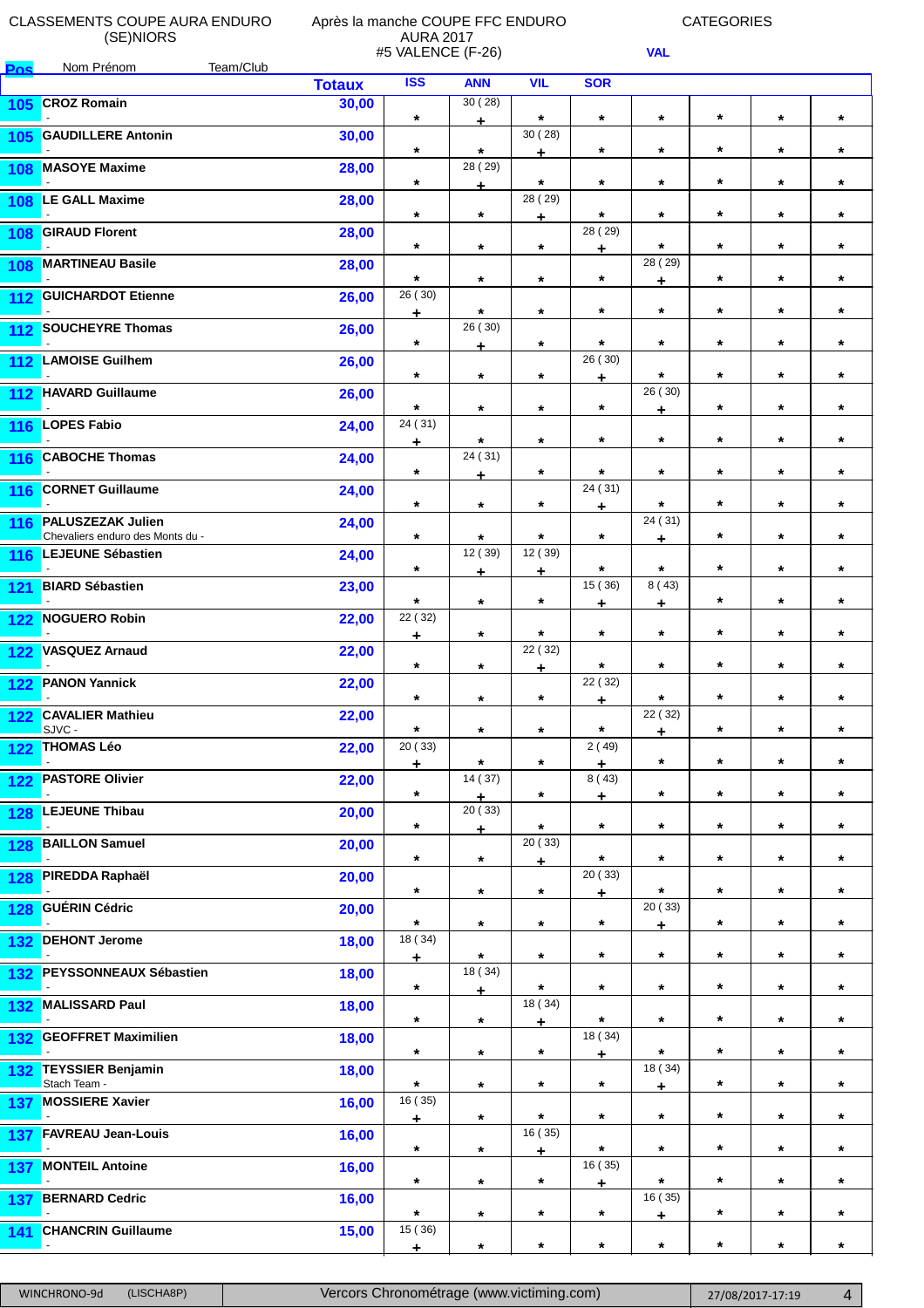**Pos** Nom Prénom Team/Club

#### Après la manche COUPE FFC ENDURO AURA 2017 #5 VALENCE (F-26)

CATEGORIES

|       |                                                              | <b>Totaux</b> | <b>ISS</b>       | <b>ANN</b>   | <b>VIL</b>        | <b>SOR</b>       |                                 |         |         |         |
|-------|--------------------------------------------------------------|---------------|------------------|--------------|-------------------|------------------|---------------------------------|---------|---------|---------|
| 105   | <b>CROZ Romain</b>                                           | 30,00         | $\star$          | 30(28)<br>٠  | $\star$           | $\star$          | $\star$                         | $\star$ | $\star$ | $\star$ |
| 105   | <b>GAUDILLERE Antonin</b>                                    | 30,00         | $\star$          | $\star$      | 30(28)<br>÷       | $\star$          | $\star$                         | $\star$ | $\star$ | $\star$ |
| 108   | <b>MASOYE Maxime</b>                                         | 28,00         | $\star$          | 28 (29)      | $\star$           | $\star$          | $\star$                         | $\star$ | $\star$ | $\star$ |
| 108   | <b>LE GALL Maxime</b>                                        | 28,00         | $\star$          | Ł<br>$\star$ | 28 (29)           | $\star$          | $\star$                         | $\star$ | $\star$ | $\star$ |
| 108   | <b>GIRAUD Florent</b>                                        | 28,00         | $\star$          | $\star$      | ÷<br>$\star$      | 28 (29)          | $\star$                         | $\star$ | $\star$ | $\star$ |
| 108   | <b>MARTINEAU Basile</b>                                      | 28,00         | $\star$          | $\star$      | $\star$           | ÷<br>$\star$     | 28 (29)                         | $\star$ | $\star$ | $\star$ |
| 112   | <b>GUICHARDOT Etienne</b>                                    | 26,00         | 26(30)<br>٠      | $\star$      | $\star$           | $\star$          | ٠<br>$\star$                    | $\star$ | $\star$ | $\star$ |
| $112$ | <b>SOUCHEYRE Thomas</b>                                      | 26,00         | $\star$          | 26 (30)<br>÷ | $\star$           | $\star$          | $\star$                         | $\star$ | $\star$ | $\star$ |
| 112   | <b>LAMOISE Guilhem</b>                                       | 26,00         | $\star$          | $\star$      | $\star$           | 26 (30)<br>÷     | $\star$                         | $\star$ | $\star$ | $\star$ |
| 112   | <b>HAVARD Guillaume</b>                                      | 26,00         | $\star$          | $\star$      | $\star$           | $\star$          | 26 (30)<br>٠                    | $\star$ | $\star$ | $\star$ |
| 116   | <b>LOPES Fabio</b>                                           | 24,00         | 24 (31)<br>÷     | $\star$      | $\star$           | $\star$          | $\star$                         | $\star$ | $\star$ | $\star$ |
| 116   | <b>CABOCHE Thomas</b>                                        | 24,00         | $\star$          | 24(31)<br>÷  | $\star$           | $\star$          | $\star$                         | $\star$ | $\star$ | $\star$ |
| 116   | <b>CORNET Guillaume</b>                                      | 24,00         | $\star$          | $\star$      | $\star$           | 24 (31)<br>÷     | $\star$                         | $\star$ | $\star$ | $\star$ |
| 116   | <b>PALUSZEZAK Julien</b><br>Chevaliers enduro des Monts du - | 24,00         | $\star$          | $\star$      | $\star$           | $\star$          | 24 (31)<br>$\ddot{\phantom{0}}$ | $\star$ | $\star$ | $\star$ |
| 116   | <b>LEJEUNE Sébastien</b>                                     | 24,00         | $\star$          | 12 (39)<br>÷ | 12 (39)<br>÷      | $\star$          | $\star$                         | $\star$ | $\star$ | $\star$ |
| 121   | <b>BIARD Sébastien</b>                                       | 23,00         | $\star$          | $\star$      | $\star$           | 15 (36)<br>٠     | 8(43)<br>٠                      | $\star$ | $\star$ | $\star$ |
| 122   | <b>NOGUERO Robin</b>                                         | 22,00         | 22 (32)<br>÷.    | $\star$      | $\star$           | $\star$          | $\star$                         | $\star$ | $\star$ | $\star$ |
| 122   | <b>VASQUEZ Arnaud</b>                                        | 22,00         | $\star$          | $\star$      | 22 (32)<br>÷      | $\star$          | $\star$                         | $\star$ | $\star$ | $\star$ |
| 122   | <b>PANON Yannick</b>                                         | 22,00         | $\star$          | $\star$      | $\star$           | 22 (32)<br>÷     | $\star$                         | $\star$ | $\star$ | $\star$ |
| 122   | <b>CAVALIER Mathieu</b><br>SJVC -                            | 22,00         | $\star$          | $\star$      | $\star$           | $\star$          | 22 (32)<br>÷                    | $\star$ | $\star$ | $\star$ |
| 122   | <b>THOMAS Léo</b>                                            | 22,00         | 20 (33)<br>÷     | $\star$      | $\star$           | 2(49)<br>٠       | $\star$                         | $\star$ | $\star$ | $\star$ |
| 122   | <b>PASTORE Olivier</b>                                       | 22,00         | $\star$          | 14 (37)<br>÷ | $\star$           | 8(43)<br>÷       | $\star$                         | $\star$ | $\star$ | $\star$ |
| 128   | <b>LEJEUNE Thibau</b>                                        | 20,00         | $\star$          | 20(33)<br>÷  | $\star$           | $\star$          | $\star$                         | $\star$ | $\star$ | $\star$ |
| 128   | <b>BAILLON Samuel</b>                                        | 20,00         | $\star$          | $\star$      | 20(33)<br>÷       | $\star$          | $\star$                         | $\star$ | $\star$ | $\star$ |
| 128   | <b>PIREDDA Raphaël</b>                                       | 20,00         | $\star$          | $\star$      | $\star$           | 20(33)<br>۰      | $\star$                         | $\star$ | $\star$ | $\star$ |
| 128   | <b>GUÉRIN Cédric</b>                                         | 20,00         | $\star$          | $\star$      | $\star$           | $\star$          | 20(33)<br>٠                     | $\star$ | $\star$ | $\star$ |
| 132   | <b>DEHONT Jerome</b>                                         | 18,00         | 18 (34)<br>$\pm$ | $\star$      | $\star$           | $\star$          | $\star$                         | $\star$ | $\star$ | $\star$ |
| 132   | <b>PEYSSONNEAUX Sébastien</b>                                | 18,00         | $\star$          | 18 (34)<br>Ł | $\star$           | $\star$          | $\star$                         | $\star$ | $\star$ | $\star$ |
| 132   | <b>MALISSARD Paul</b>                                        | 18,00         | $\star$          | $\star$      | 18 (34)<br>$\div$ | $\star$          | $\star$                         | $\star$ | $\star$ | $\star$ |
| 132   | <b>GEOFFRET Maximilien</b>                                   | 18,00         | $\star$          | $\star$      | $\star$           | 18 (34)<br>$\pm$ | $\star$                         | $\star$ | $\star$ | $\star$ |
| 132   | <b>TEYSSIER Benjamin</b><br>Stach Team -                     | 18,00         | $\star$          | $\star$      | $\star$           | $\star$          | 18 (34)<br>۰                    | $\star$ | $\star$ | $\star$ |
| 137   | <b>MOSSIERE Xavier</b>                                       | 16,00         | 16 (35)<br>÷     | $\star$      | $\star$           | $\star$          | $\star$                         | $\star$ | $\star$ | $\star$ |
| 137   | <b>FAVREAU Jean-Louis</b>                                    | 16,00         | $\star$          | $\star$      | 16 (35)<br>÷      | $\star$          | $\star$                         | $\star$ | $\star$ | $\star$ |
| 137   | <b>MONTEIL Antoine</b>                                       | 16,00         | $\star$          | $\star$      | $\star$           | 16(35)<br>۰      | $\star$                         | $\star$ | $\star$ | $\star$ |
| 137   | <b>BERNARD Cedric</b>                                        | 16,00         | $\star$          | $\star$      | $\star$           | $\star$          | 16 (35)<br>÷                    | $\star$ | $\star$ | $\star$ |
| 141   | <b>CHANCRIN Guillaume</b><br>$\sim$                          | 15,00         | 15 (36)<br>÷     | $\star$      | $\star$           | $\star$          | $\star$                         | $\star$ | $\star$ | $\star$ |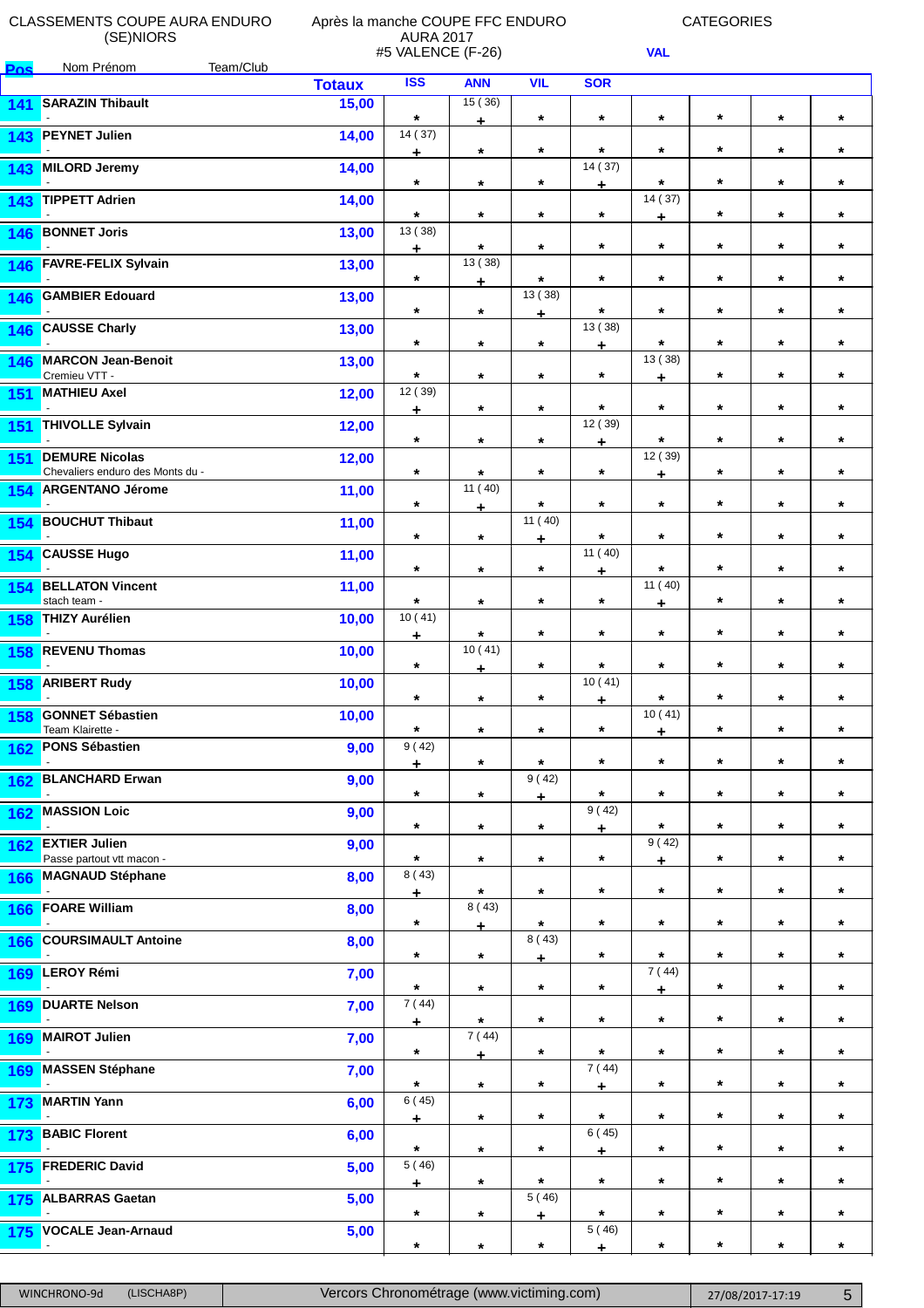**Pos** Nom Prénom Team/Club

### Après la manche COUPE FFC ENDURO AURA 2017 #5 VALENCE (F-26)

CATEGORIES

|            |                                                           | <b>Totaux</b> | <b>ISS</b>       | <b>ANN</b>               | <b>VIL</b>      | <b>SOR</b>       |              |         |         |         |
|------------|-----------------------------------------------------------|---------------|------------------|--------------------------|-----------------|------------------|--------------|---------|---------|---------|
| 141        | <b>SARAZIN Thibault</b>                                   | 15,00         | $\star$          | 15(36)<br>$\div$         | $\star$         | $\star$          | $\star$      | $\star$ | $\star$ | $\star$ |
| 143        | <b>PEYNET Julien</b>                                      | 14,00         | 14 (37)<br>$\pm$ | $\star$                  | $\star$         | $\star$          | $\star$      | $\star$ | $\star$ | $\star$ |
| 143        | <b>MILORD Jeremy</b>                                      | 14,00         | $\star$          | $\star$                  | $\star$         | 14(37)           | $\star$      | $\star$ | $\star$ | $\star$ |
| 143        | <b>TIPPETT Adrien</b>                                     | 14,00         | $\star$          | $\star$                  | $\star$         | ۰<br>$\star$     | 14 (37)<br>٠ | $\star$ | $\star$ | $\star$ |
| 146        | <b>BONNET Joris</b>                                       | 13,00         | 13 (38)<br>÷     | $\star$                  | $\star$         | $\star$          | $\star$      | $\star$ | $\star$ | $\star$ |
|            | 146 FAVRE-FELIX Sylvain                                   | 13,00         | $\star$          | $\overline{13(38)}$<br>÷ | $\star$         | $\star$          | $\star$      | $\star$ | $\star$ | $\star$ |
| 146        | <b>GAMBIER Edouard</b>                                    | 13,00         | $\star$          | $\star$                  | 13 (38)<br>÷    | $\star$          | $\star$      | $\star$ | $\star$ | $\star$ |
| 146        | <b>CAUSSE Charly</b>                                      | 13,00         | $\star$          | $\star$                  | $\star$         | 13 (38)<br>$\pm$ | $\star$      | $\star$ | $\star$ | $\star$ |
| 146        | <b>MARCON Jean-Benoit</b><br>Cremieu VTT -                | 13,00         | $\star$          | $\star$                  | $\star$         | $\star$          | 13 (38)<br>÷ | $\star$ | $\star$ | $\star$ |
| 151        | <b>MATHIEU Axel</b>                                       | 12,00         | 12 (39)<br>٠     | $\star$                  | $\star$         | $\star$          | $\star$      | $\star$ | $\star$ | $\star$ |
| 151        | <b>THIVOLLE Sylvain</b>                                   | 12,00         | $\star$          | $\star$                  | $\star$         | 12 (39)<br>÷     | $\star$      | $\star$ | $\star$ | $\star$ |
| 151        | <b>DEMURE Nicolas</b><br>Chevaliers enduro des Monts du - | 12,00         | $\star$          | $\star$                  | $\star$         | $\star$          | 12 (39)<br>÷ | $\star$ | $\star$ | $\star$ |
| 154        | <b>ARGENTANO Jérome</b>                                   | 11,00         | $\star$          | 11 (40)<br>÷             | $\star$         | $\star$          | $\star$      | $\star$ | $\star$ | $\star$ |
| 154        | <b>BOUCHUT Thibaut</b>                                    | 11,00         | $\star$          | $\star$                  | 11(40)<br>÷     | $\star$          | $\star$      | $\star$ | $\star$ | $\star$ |
| 154        | <b>CAUSSE Hugo</b>                                        | 11,00         | $\star$          | $\star$                  | $\star$         | 11 (40)<br>÷     | $\star$      | $\star$ | $\star$ | $\star$ |
| 154        | <b>BELLATON Vincent</b><br>stach team -                   | 11,00         | $\star$          | $\star$                  | $\star$         | $\star$          | 11(40)<br>٠  | $\star$ | $\star$ | $\star$ |
| 158        | <b>THIZY Aurélien</b>                                     | 10,00         | 10(41)<br>÷      | $\star$                  | $\star$         | $\star$          | $\star$      | $\star$ | $\star$ | $\star$ |
| 158        | <b>REVENU Thomas</b>                                      | 10,00         | $\star$          | 10(41)<br>÷              | $\star$         | $\star$          | $\star$      | $\star$ | $\star$ | $\star$ |
| 158        | <b>ARIBERT Rudy</b>                                       | 10,00         | $\star$          | $\star$                  | $\star$         | 10(41)<br>÷      | $\star$      | $\star$ | $\star$ | $\star$ |
| 158        | <b>GONNET Sébastien</b><br>Team Klairette -               | 10,00         | $\star$          | $\star$                  | $\star$         | $^\star$         | 10(41)<br>÷  | $\star$ | $\star$ | $\star$ |
| 162        | <b>PONS Sébastien</b>                                     | 9,00          | 9(42)<br>$\pm$   | $\star$                  | $\star$         | $\star$          | $\star$      | $\star$ | $\star$ | $\star$ |
| 162        | <b>BLANCHARD Erwan</b>                                    | 9,00          | $\star$          | $\star$                  | 9 (42)<br>÷     | $\star$          | $\star$      | $\star$ | $\star$ | $\star$ |
| 162        | <b>MASSION Loic</b>                                       | 9,00          | $\star$          | $\star$                  | $\star$         | 9(42)<br>÷       | $\star$      | $\star$ | $\star$ | $\star$ |
| 162        | <b>EXTIER Julien</b><br>Passe partout vtt macon -         | 9,00          | $\star$          | $\star$                  | $\star$         | $\star$          | 9(42)<br>÷   | $\star$ | $\star$ | $\star$ |
| 166        | <b>MAGNAUD Stéphane</b><br>$\sim$                         | 8,00          | 8(43)<br>$\div$  | $\star$                  | $\star$         | $\star$          | $\star$      | $\star$ | $\star$ | $\star$ |
| 166        | <b>FOARE William</b>                                      | 8,00          | $\star$          | $\overline{8}$ (43)<br>÷ | $\star$         | $\star$          | $\star$      | $\star$ | $\star$ | $\star$ |
| 166        | <b>COURSIMAULT Antoine</b>                                | 8,00          | $\star$          | $\star$                  | 8(43)<br>÷      | $\star$          | $\star$      | $\star$ | $\star$ | $\star$ |
| 169        | LEROY Rémi                                                | 7,00          | $\star$          | $\star$                  | $\star$         | $\star$          | 7(44)<br>٠   | $\star$ | $\star$ | $\star$ |
| 169        | <b>DUARTE Nelson</b>                                      | 7,00          | 7(44)<br>÷       | $\star$                  | $\star$         | $\star$          | $\star$      | $\star$ | $\star$ | $\star$ |
| 169        | <b>MAIROT Julien</b>                                      | 7,00          | $\star$          | 7(44)<br>$\div$          | $\star$         | $\star$          | $\star$      | $\star$ | $\star$ | $\star$ |
| 169        | <b>MASSEN Stéphane</b>                                    | 7,00          | $\star$          | $\star$                  | $\star$         | 7(44)<br>÷       | $\star$      | $\star$ | $\star$ | $\star$ |
| 173        | <b>MARTIN Yann</b>                                        | 6,00          | 6(45)<br>٠       | $\star$                  | $\star$         | $\star$          | $\star$      | $\star$ | $\star$ | $\star$ |
| 173        | <b>BABIC Florent</b>                                      | 6,00          | $\star$          | $\star$                  | $\star$         | 6(45)<br>٠       | $\star$      | $\star$ | $\star$ | $\star$ |
| 175        | <b>FREDERIC David</b>                                     | 5,00          | 5(46)<br>$\pm$   | $\star$                  | $\star$         | $\star$          | $\star$      | $\star$ | $\star$ | $\star$ |
| 175        | <b>ALBARRAS Gaetan</b>                                    | 5,00          | $\star$          | $\star$                  | 5(46)<br>$\div$ | $\star$          | $\star$      | $\star$ | $\star$ | $\star$ |
| <b>175</b> | <b>VOCALE Jean-Arnaud</b>                                 | 5,00          | $\star$          | $\star$                  | $\star$         | 5(46)<br>÷       | $\star$      | $\star$ | $\star$ | $\star$ |